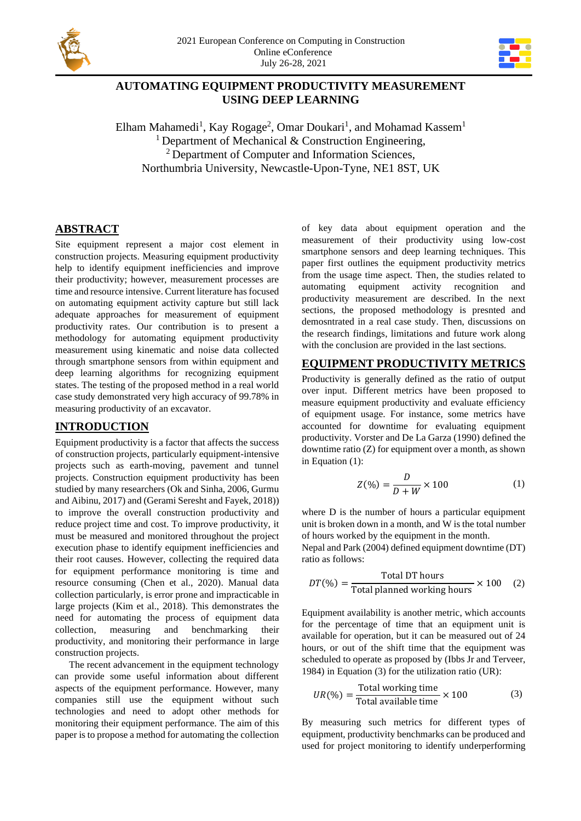



# **AUTOMATING EQUIPMENT PRODUCTIVITY MEASUREMENT USING DEEP LEARNING**

Elham Mahamedi<sup>1</sup>, Kay Rogage<sup>2</sup>, Omar Doukari<sup>1</sup>, and Mohamad Kassem<sup>1</sup> Department of Mechanical & Construction Engineering, <sup>2</sup> Department of Computer and Information Sciences, Northumbria University, Newcastle-Upon-Tyne, NE1 8ST, UK

## **ABSTRACT**

Site equipment represent a major cost element in construction projects. Measuring equipment productivity help to identify equipment inefficiencies and improve their productivity; however, measurement processes are time and resource intensive. Current literature has focused on automating equipment activity capture but still lack adequate approaches for measurement of equipment productivity rates. Our contribution is to present a methodology for automating equipment productivity measurement using kinematic and noise data collected through smartphone sensors from within equipment and deep learning algorithms for recognizing equipment states. The testing of the proposed method in a real world case study demonstrated very high accuracy of 99.78% in measuring productivity of an excavator.

# **INTRODUCTION**

Equipment productivity is a factor that affects the success of construction projects, particularly equipment-intensive projects such as earth-moving, pavement and tunnel projects. Construction equipment productivity has been studied by many researchers (Ok and Sinha, 2006, Gurmu and Aibinu, 2017) and (Gerami Seresht and Fayek, 2018)) to improve the overall construction productivity and reduce project time and cost. To improve productivity, it must be measured and monitored throughout the project execution phase to identify equipment inefficiencies and their root causes. However, collecting the required data for equipment performance monitoring is time and resource consuming (Chen et al., 2020). Manual data collection particularly, is error prone and impracticable in large projects (Kim et al., 2018). This demonstrates the need for automating the process of equipment data collection, measuring and benchmarking their productivity, and monitoring their performance in large construction projects.

The recent advancement in the equipment technology can provide some useful information about different aspects of the equipment performance. However, many companies still use the equipment without such technologies and need to adopt other methods for monitoring their equipment performance. The aim of this paper is to propose a method for automating the collection of key data about equipment operation and the measurement of their productivity using low-cost smartphone sensors and deep learning techniques. This paper first outlines the equipment productivity metrics from the usage time aspect. Then, the studies related to automating equipment activity recognition and productivity measurement are described. In the next sections, the proposed methodology is presnted and demosntrated in a real case study. Then, discussions on the research findings, limitations and future work along with the conclusion are provided in the last sections.

## **EQUIPMENT PRODUCTIVITY METRICS**

Productivity is generally defined as the ratio of output over input. Different metrics have been proposed to measure equipment productivity and evaluate efficiency of equipment usage. For instance, some metrics have accounted for downtime for evaluating equipment productivity. Vorster and De La Garza (1990) defined the downtime ratio (Z) for equipment over a month, as shown in Equation (1):

$$
Z(\%) = \frac{D}{D+W} \times 100\tag{1}
$$

where D is the number of hours a particular equipment unit is broken down in a month, and W is the total number of hours worked by the equipment in the month.

Nepal and Park (2004) defined equipment downtime (DT) ratio as follows:

$$
DT(\%) = \frac{\text{Total DT hours}}{\text{Total planned working hours}} \times 100 \quad (2)
$$

Equipment availability is another metric, which accounts for the percentage of time that an equipment unit is available for operation, but it can be measured out of 24 hours, or out of the shift time that the equipment was scheduled to operate as proposed by (Ibbs Jr and Terveer, 1984) in Equation (3) for the utilization ratio (UR):

$$
UR(\%) = \frac{\text{Total working time}}{\text{Total available time}} \times 100 \tag{3}
$$

By measuring such metrics for different types of equipment, productivity benchmarks can be produced and used for project monitoring to identify underperforming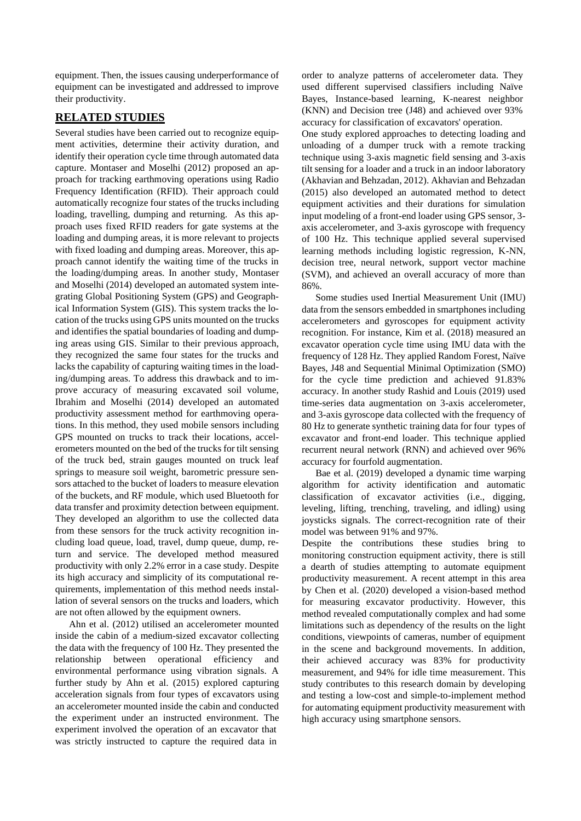equipment. Then, the issues causing underperformance of equipment can be investigated and addressed to improve their productivity.

## **RELATED STUDIES**

Several studies have been carried out to recognize equipment activities, determine their activity duration, and identify their operation cycle time through automated data capture. Montaser and Moselhi (2012) proposed an approach for tracking earthmoving operations using Radio Frequency Identification (RFID). Their approach could automatically recognize four states of the trucks including loading, travelling, dumping and returning. As this approach uses fixed RFID readers for gate systems at the loading and dumping areas, it is more relevant to projects with fixed loading and dumping areas. Moreover, this approach cannot identify the waiting time of the trucks in the loading/dumping areas. In another study, Montaser and Moselhi (2014) developed an automated system integrating Global Positioning System (GPS) and Geographical Information System (GIS). This system tracks the location of the trucks using GPS units mounted on the trucks and identifies the spatial boundaries of loading and dumping areas using GIS. Similar to their previous approach, they recognized the same four states for the trucks and lacks the capability of capturing waiting times in the loading/dumping areas. To address this drawback and to improve accuracy of measuring excavated soil volume, Ibrahim and Moselhi (2014) developed an automated productivity assessment method for earthmoving operations. In this method, they used mobile sensors including GPS mounted on trucks to track their locations, accelerometers mounted on the bed of the trucks for tilt sensing of the truck bed, strain gauges mounted on truck leaf springs to measure soil weight, barometric pressure sensors attached to the bucket of loaders to measure elevation of the buckets, and RF module, which used Bluetooth for data transfer and proximity detection between equipment. They developed an algorithm to use the collected data from these sensors for the truck activity recognition including load queue, load, travel, dump queue, dump, return and service. The developed method measured productivity with only 2.2% error in a case study. Despite its high accuracy and simplicity of its computational requirements, implementation of this method needs installation of several sensors on the trucks and loaders, which are not often allowed by the equipment owners.

Ahn et al. (2012) utilised an accelerometer mounted inside the cabin of a medium-sized excavator collecting the data with the frequency of 100 Hz. They presented the relationship between operational efficiency and environmental performance using vibration signals. A further study by Ahn et al. (2015) explored capturing acceleration signals from four types of excavators using an accelerometer mounted inside the cabin and conducted the experiment under an instructed environment. The experiment involved the operation of an excavator that was strictly instructed to capture the required data in

order to analyze patterns of accelerometer data. They used different supervised classifiers including Naïve Bayes, Instance-based learning, K-nearest neighbor (KNN) and Decision tree (J48) and achieved over 93% accuracy for classification of excavators' operation.

One study explored approaches to detecting loading and unloading of a dumper truck with a remote tracking technique using 3-axis magnetic field sensing and 3-axis tilt sensing for a loader and a truck in an indoor laboratory (Akhavian and Behzadan, 2012). Akhavian and Behzadan (2015) also developed an automated method to detect equipment activities and their durations for simulation input modeling of a front-end loader using GPS sensor, 3 axis accelerometer, and 3-axis gyroscope with frequency of 100 Hz. This technique applied several supervised learning methods including logistic regression, K-NN, decision tree, neural network, support vector machine (SVM), and achieved an overall accuracy of more than 86%.

Some studies used Inertial Measurement Unit (IMU) data from the sensors embedded in smartphones including accelerometers and gyroscopes for equipment activity recognition. For instance, Kim et al. (2018) measured an excavator operation cycle time using IMU data with the frequency of 128 Hz. They applied Random Forest, Naïve Bayes, J48 and Sequential Minimal Optimization (SMO) for the cycle time prediction and achieved 91.83% accuracy. In another study Rashid and Louis (2019) used time-series data augmentation on 3-axis accelerometer, and 3-axis gyroscope data collected with the frequency of 80 Hz to generate synthetic training data for four types of excavator and front-end loader. This technique applied recurrent neural network (RNN) and achieved over 96% accuracy for fourfold augmentation.

Bae et al. (2019) developed a dynamic time warping algorithm for activity identification and automatic classification of excavator activities (i.e., digging, leveling, lifting, trenching, traveling, and idling) using joysticks signals. The correct-recognition rate of their model was between 91% and 97%.

Despite the contributions these studies bring to monitoring construction equipment activity, there is still a dearth of studies attempting to automate equipment productivity measurement. A recent attempt in this area by Chen et al. (2020) developed a vision-based method for measuring excavator productivity. However, this method revealed computationally complex and had some limitations such as dependency of the results on the light conditions, viewpoints of cameras, number of equipment in the scene and background movements. In addition, their achieved accuracy was 83% for productivity measurement, and 94% for idle time measurement. This study contributes to this research domain by developing and testing a low-cost and simple-to-implement method for automating equipment productivity measurement with high accuracy using smartphone sensors.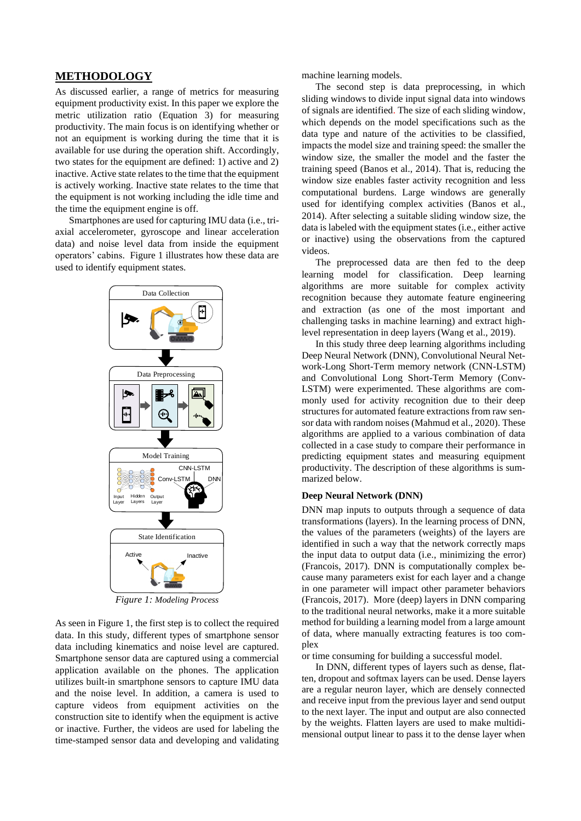## **METHODOLOGY**

As discussed earlier, a range of metrics for measuring equipment productivity exist. In this paper we explore the metric utilization ratio (Equation 3) for measuring productivity. The main focus is on identifying whether or not an equipment is working during the time that it is available for use during the operation shift. Accordingly, two states for the equipment are defined: 1) active and 2) inactive. Active state relates to the time that the equipment is actively working. Inactive state relates to the time that the equipment is not working including the idle time and the time the equipment engine is off.

Smartphones are used for capturing IMU data (i.e., triaxial accelerometer, gyroscope and linear acceleration data) and noise level data from inside the equipment operators' cabins. Figure 1 illustrates how these data are used to identify equipment states.



*Figure 1: Modeling Process*

As seen in Figure 1, the first step is to collect the required data. In this study, different types of smartphone sensor data including kinematics and noise level are captured. Smartphone sensor data are captured using a commercial application available on the phones. The application utilizes built-in smartphone sensors to capture IMU data and the noise level. In addition, a camera is used to capture videos from equipment activities on the construction site to identify when the equipment is active or inactive. Further, the videos are used for labeling the time-stamped sensor data and developing and validating machine learning models.

The second step is data preprocessing, in which sliding windows to divide input signal data into windows of signals are identified. The size of each sliding window, which depends on the model specifications such as the data type and nature of the activities to be classified, impacts the model size and training speed: the smaller the window size, the smaller the model and the faster the training speed (Banos et al., 2014). That is, reducing the window size enables faster activity recognition and less computational burdens. Large windows are generally used for identifying complex activities (Banos et al., 2014). After selecting a suitable sliding window size, the data is labeled with the equipment states (i.e., either active or inactive) using the observations from the captured videos.

The preprocessed data are then fed to the deep learning model for classification. Deep learning algorithms are more suitable for complex activity recognition because they automate feature engineering and extraction (as one of the most important and challenging tasks in machine learning) and extract highlevel representation in deep layers (Wang et al., 2019).

In this study three deep learning algorithms including Deep Neural Network (DNN), Convolutional Neural Network-Long Short-Term memory network (CNN-LSTM) and Convolutional Long Short-Term Memory (Conv-LSTM) were experimented. These algorithms are commonly used for activity recognition due to their deep structures for automated feature extractions from raw sensor data with random noises (Mahmud et al., 2020). These algorithms are applied to a various combination of data collected in a case study to compare their performance in predicting equipment states and measuring equipment productivity. The description of these algorithms is summarized below.

#### **Deep Neural Network (DNN)**

DNN map inputs to outputs through a sequence of data transformations (layers). In the learning process of DNN, the values of the parameters (weights) of the layers are identified in such a way that the network correctly maps the input data to output data (i.e., minimizing the error) (Francois, 2017). DNN is computationally complex because many parameters exist for each layer and a change in one parameter will impact other parameter behaviors (Francois, 2017). More (deep) layers in DNN comparing to the traditional neural networks, make it a more suitable method for building a learning model from a large amount of data, where manually extracting features is too complex

or time consuming for building a successful model.

In DNN, different types of layers such as dense, flatten, dropout and softmax layers can be used. Dense layers are a regular neuron layer, which are densely connected and receive input from the previous layer and send output to the next layer. The input and output are also connected by the weights. Flatten layers are used to make multidimensional output linear to pass it to the dense layer when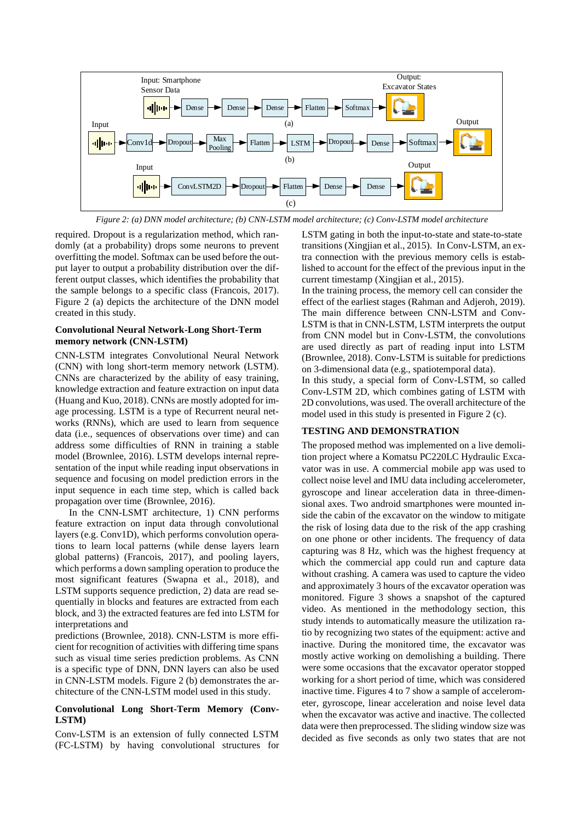

*Figure 2: (a) DNN model architecture; (b) CNN-LSTM model architecture; (c) Conv-LSTM model architecture*

required. Dropout is a regularization method, which randomly (at a probability) drops some neurons to prevent overfitting the model. Softmax can be used before the output layer to output a probability distribution over the different output classes, which identifies the probability that the sample belongs to a specific class (Francois, 2017). Figure 2 (a) depicts the architecture of the DNN model created in this study.

#### **Convolutional Neural Network-Long Short-Term memory network (CNN-LSTM)**

CNN-LSTM integrates Convolutional Neural Network (CNN) with long short-term memory network (LSTM). CNNs are characterized by the ability of easy training, knowledge extraction and feature extraction on input data (Huang and Kuo, 2018). CNNs are mostly adopted for image processing. LSTM is a type of Recurrent neural networks (RNNs), which are used to learn from sequence data (i.e., sequences of observations over time) and can address some difficulties of RNN in training a stable model (Brownlee, 2016). LSTM develops internal representation of the input while reading input observations in sequence and focusing on model prediction errors in the input sequence in each time step, which is called back propagation over time (Brownlee, 2016).

In the CNN-LSMT architecture, 1) CNN performs feature extraction on input data through convolutional layers (e.g. Conv1D), which performs convolution operations to learn local patterns (while dense layers learn global patterns) (Francois, 2017), and pooling layers, which performs a down sampling operation to produce the most significant features (Swapna et al., 2018), and LSTM supports sequence prediction, 2) data are read sequentially in blocks and features are extracted from each block, and 3) the extracted features are fed into LSTM for interpretations and

predictions (Brownlee, 2018). CNN-LSTM is more efficient for recognition of activities with differing time spans such as visual time series prediction problems. As CNN is a specific type of DNN, DNN layers can also be used in CNN-LSTM models. Figure 2 (b) demonstrates the architecture of the CNN-LSTM model used in this study.

### **Convolutional Long Short-Term Memory (Conv-LSTM)**

Conv-LSTM is an extension of fully connected LSTM (FC-LSTM) by having convolutional structures for LSTM gating in both the input-to-state and state-to-state transitions (Xingjian et al., 2015). In Conv-LSTM, an extra connection with the previous memory cells is established to account for the effect of the previous input in the current timestamp (Xingjian et al., 2015).

In the training process, the memory cell can consider the effect of the earliest stages (Rahman and Adjeroh, 2019). The main difference between CNN-LSTM and Conv-LSTM is that in CNN-LSTM, LSTM interprets the output from CNN model but in Conv-LSTM, the convolutions are used directly as part of reading input into LSTM (Brownlee, 2018). Conv-LSTM is suitable for predictions on 3-dimensional data (e.g., spatiotemporal data).

In this study, a special form of Conv-LSTM, so called Conv-LSTM 2D, which combines gating of LSTM with 2D convolutions, was used. The overall architecture of the model used in this study is presented in Figure 2 (c).

### **TESTING AND DEMONSTRATION**

The proposed method was implemented on a live demolition project where [a Komatsu PC220LC Hydraulic Exca](https://www.ritchiespecs.com/model/komatsu-pc220lc-6-hydraulic-excavator)[vator](https://www.ritchiespecs.com/model/komatsu-pc220lc-6-hydraulic-excavator) was in use. A commercial mobile app was used to collect noise level and IMU data including accelerometer, gyroscope and linear acceleration data in three-dimensional axes. Two android smartphones were mounted inside the cabin of the excavator on the window to mitigate the risk of losing data due to the risk of the app crashing on one phone or other incidents. The frequency of data capturing was 8 Hz, which was the highest frequency at which the commercial app could run and capture data without crashing. A camera was used to capture the video and approximately 3 hours of the excavator operation was monitored. Figure 3 shows a snapshot of the captured video. As mentioned in the methodology section, this study intends to automatically measure the utilization ratio by recognizing two states of the equipment: active and inactive. During the monitored time, the excavator was mostly active working on demolishing a building. There were some occasions that the excavator operator stopped working for a short period of time, which was considered inactive time. Figures 4 to 7 show a sample of accelerometer, gyroscope, linear acceleration and noise level data when the excavator was active and inactive. The collected data were then preprocessed. The sliding window size was decided as five seconds as only two states that are not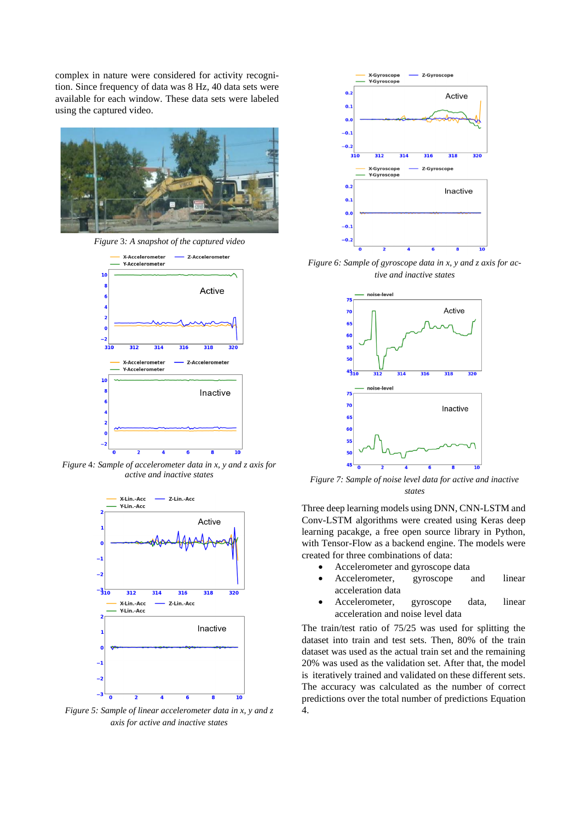complex in nature were considered for activity recognition. Since frequency of data was 8 Hz, 40 data sets were available for each window. These data sets were labeled using the captured video.



*Figure* 3*: A snapshot of the captured video*



*Figure* 4*: Sample of accelerometer data in x, y and z axis for active and inactive states*



*Figure 5: Sample of linear accelerometer data in x, y and z axis for active and inactive states*



*Figure 6: Sample of gyroscope data in x, y and z axis for active and inactive states*



*Figure 7: Sample of noise level data for active and inactive states*

Three deep learning models using DNN, CNN-LSTM and Conv-LSTM algorithms were created using Keras deep learning pacakge, a free open source library in Python, with Tensor-Flow as a backend engine. The models were created for three combinations of data:

- Accelerometer and gyroscope data
- Accelerometer, gyroscope and linear acceleration data
- Accelerometer, gyroscope data, linear acceleration and noise level data

The train/test ratio of 75/25 was used for splitting the dataset into train and test sets. Then, 80% of the train dataset was used as the actual train set and the remaining 20% was used as the validation set. After that, the model is iteratively trained and validated on these different sets. The accuracy was calculated as the number of correct predictions over the total number of predictions Equation 4.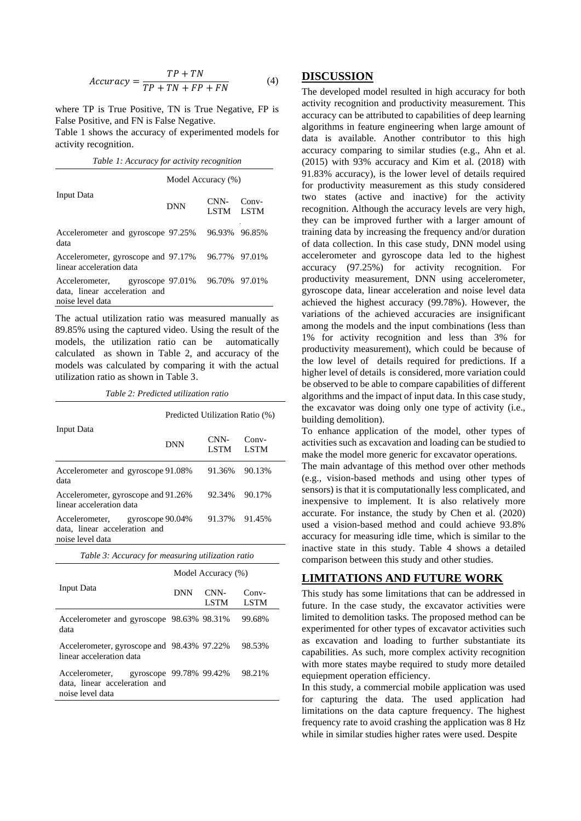$$
Accuracy = \frac{TP + TN}{TP + TN + FP + FN}
$$
 (4)

where TP is True Positive, TN is True Negative, FP is False Positive, and FN is False Negative.

Table 1 shows the accuracy of experimented models for activity recognition.

| Table 1: Accuracy for activity recognition                                                         |                    |                   |         |  |
|----------------------------------------------------------------------------------------------------|--------------------|-------------------|---------|--|
|                                                                                                    | Model Accuracy (%) |                   |         |  |
| Input Data                                                                                         | <b>DNN</b>         | CNN-<br>LSTM LSTM | $Conv-$ |  |
| Accelerometer and gyroscope 97.25%<br>data                                                         |                    | 96.93% 96.85%     |         |  |
| Accelerometer, gyroscope and 97.17%<br>linear acceleration data                                    |                    | 96.77% 97.01%     |         |  |
| Accelerometer, gyroscope 97.01% 96.70% 97.01%<br>data, linear acceleration and<br>noise level data |                    |                   |         |  |

The actual utilization ratio was measured manually as 89.85% using the captured video. Using the result of the models, the utilization ratio can be automatically calculated as shown in Table 2, and accuracy of the models was calculated by comparing it with the actual utilization ratio as shown in Table 3.

*Table 2: Predicted utilization ratio*

Predicted Utilization Ratio (%)

| <b>Input Data</b>                                                                    | <b>DNN</b> | $CNN-$<br><b>LSTM</b> | $Conv-$<br><b>LSTM</b> |
|--------------------------------------------------------------------------------------|------------|-----------------------|------------------------|
| Accelerometer and gyroscope 91.08%<br>data                                           |            | 91.36% 90.13%         |                        |
| Accelerometer, gyroscope and 91.26%<br>linear acceleration data                      |            | 92.34% 90.17%         |                        |
| Accelerometer, gyroscope 90.04%<br>data, linear acceleration and<br>noise level data |            | 91.37% 91.45%         |                        |

| Table 3: Accuracy for measuring utilization ratio                                           |                    |                     |                        |
|---------------------------------------------------------------------------------------------|--------------------|---------------------|------------------------|
|                                                                                             | Model Accuracy (%) |                     |                        |
| Input Data                                                                                  | DNN                | CNN-<br><b>LSTM</b> | $Conv-$<br><b>LSTM</b> |
| Accelerometer and gyroscope 98.63% 98.31%<br>data                                           |                    |                     | 99.68%                 |
| Accelerometer, gyroscope and 98.43% 97.22%<br>linear acceleration data                      |                    |                     | 98.53%                 |
| Accelerometer, gyroscope 99.78% 99.42%<br>data, linear acceleration and<br>noise level data |                    |                     | 98.21%                 |

## **DISCUSSION**

The developed model resulted in high accuracy for both activity recognition and productivity measurement. This accuracy can be attributed to capabilities of deep learning algorithms in feature engineering when large amount of data is available. Another contributor to this high accuracy comparing to similar studies (e.g., Ahn et al. (2015) with 93% accuracy and Kim et al. (2018) with 91.83% accuracy), is the lower level of details required for productivity measurement as this study considered two states (active and inactive) for the activity recognition. Although the accuracy levels are very high, they can be improved further with a larger amount of training data by increasing the frequency and/or duration of data collection. In this case study, DNN model using accelerometer and gyroscope data led to the highest accuracy (97.25%) for activity recognition. For productivity measurement, DNN using accelerometer, gyroscope data, linear acceleration and noise level data achieved the highest accuracy (99.78%). However, the variations of the achieved accuracies are insignificant among the models and the input combinations (less than 1% for activity recognition and less than 3% for productivity measurement), which could be because of the low level of details required for predictions. If a higher level of details is considered, more variation could be observed to be able to compare capabilities of different algorithms and the impact of input data. In this case study, the excavator was doing only one type of activity (i.e., building demolition).

To enhance application of the model, other types of activities such as excavation and loading can be studied to make the model more generic for excavator operations.

The main advantage of this method over other methods (e.g., vision-based methods and using other types of sensors) is that it is computationally less complicated, and inexpensive to implement. It is also relatively more accurate. For instance, the study by Chen et al. (2020) used a vision-based method and could achieve 93.8% accuracy for measuring idle time, which is similar to the inactive state in this study. Table 4 shows a detailed comparison between this study and other studies.

## **LIMITATIONS AND FUTURE WORK**

This study has some limitations that can be addressed in future. In the case study, the excavator activities were limited to demolition tasks. The proposed method can be experimented for other types of excavator activities such as excavation and loading to further substantiate its capabilities. As such, more complex activity recognition with more states maybe required to study more detailed equiepment operation efficiency.

In this study, a commercial mobile application was used for capturing the data. The used application had limitations on the data capture frequency. The highest frequency rate to avoid crashing the application was 8 Hz while in similar studies higher rates were used. Despite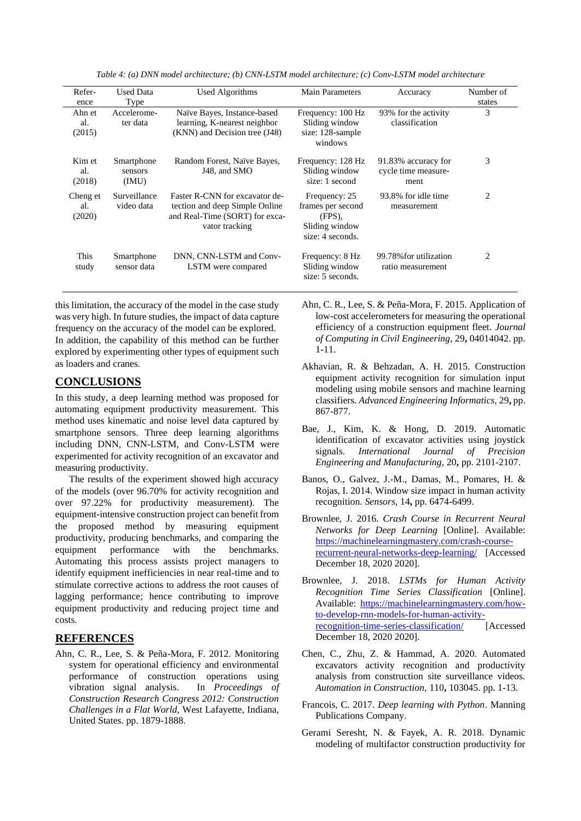| Refer-                    | <b>Used Data</b>               | Used Algorithms                                                                                                      | <b>Main Parameters</b>                                                             | Accuracy                                           | Number of |
|---------------------------|--------------------------------|----------------------------------------------------------------------------------------------------------------------|------------------------------------------------------------------------------------|----------------------------------------------------|-----------|
| ence                      | <b>Type</b>                    |                                                                                                                      |                                                                                    |                                                    | states    |
| Ahn et<br>al.<br>(2015)   | Accelerome-<br>ter data        | Naïve Bayes, Instance-based<br>learning, K-nearest neighbor<br>(KNN) and Decision tree (J48)                         | Frequency: 100 Hz<br>Sliding window<br>size: 128-sample<br>windows                 | 93% for the activity<br>classification             | 3         |
| Kim et<br>al.<br>(2018)   | Smartphone<br>sensors<br>(IMU) | Random Forest, Naïve Bayes,<br>J48, and SMO                                                                          | Frequency: 128 Hz<br>Sliding window<br>size: 1 second                              | 91.83% accuracy for<br>cycle time measure-<br>ment | 3         |
| Cheng et<br>al.<br>(2020) | Surveillance<br>video data     | Faster R-CNN for excavator de-<br>tection and deep Simple Online<br>and Real-Time (SORT) for exca-<br>vator tracking | Frequency: 25<br>frames per second<br>(FPS),<br>Sliding window<br>size: 4 seconds. | 93.8% for idle time<br>measurement                 | 2         |
| <b>This</b><br>study      | Smartphone<br>sensor data      | DNN, CNN-LSTM and Conv-<br>LSTM were compared                                                                        | Frequency: 8 Hz<br>Sliding window<br>size: 5 seconds.                              | 99.78% for utilization<br>ratio measurement        | 2         |

*Table 4: (a) DNN model architecture; (b) CNN-LSTM model architecture; (c) Conv-LSTM model architecture*

this limitation, the accuracy of the model in the case study was very high. In future studies, the impact of data capture frequency on the accuracy of the model can be explored. In addition, the capability of this method can be further explored by experimenting other types of equipment such as loaders and cranes.

## **CONCLUSIONS**

In this study, a deep learning method was proposed for automating equipment productivity measurement. This method uses kinematic and noise level data captured by smartphone sensors. Three deep learning algorithms including DNN, CNN-LSTM, and Conv-LSTM were experimented for activity recognition of an excavator and measuring productivity.

The results of the experiment showed high accuracy of the models (over 96.70% for activity recognition and over 97.22% for productivity measurement). The equipment-intensive construction project can benefit from the proposed method by measuring equipment productivity, producing benchmarks, and comparing the equipment performance with the benchmarks. Automating this process assists project managers to identify equipment inefficiencies in near real-time and to stimulate corrective actions to address the root causes of lagging performance; hence contributing to improve equipment productivity and reducing project time and costs.

## **REFERENCES**

Ahn, C. R., Lee, S. & Peña-Mora, F. 2012. Monitoring system for operational efficiency and environmental performance of construction operations using vibration signal analysis. In *Proceedings of Construction Research Congress 2012: Construction Challenges in a Flat World,* West Lafayette, Indiana, United States. pp. 1879-1888.

Ahn, C. R., Lee, S. & Peña-Mora, F. 2015. Application of low-cost accelerometers for measuring the operational efficiency of a construction equipment fleet. *Journal of Computing in Civil Engineering,* 29**,** 04014042. pp. 1-11.

- Akhavian, R. & Behzadan, A. H. 2015. Construction equipment activity recognition for simulation input modeling using mobile sensors and machine learning classifiers. *Advanced Engineering Informatics,* 29**,** pp. 867-877.
- Bae, J., Kim, K. & Hong, D. 2019. Automatic identification of excavator activities using joystick signals. *International Journal of Precision Engineering and Manufacturing,* 20**,** pp. 2101-2107.
- Banos, O., Galvez, J.-M., Damas, M., Pomares, H. & Rojas, I. 2014. Window size impact in human activity recognition. *Sensors,* 14**,** pp. 6474-6499.
- Brownlee, J. 2016. *Crash Course in Recurrent Neural Networks for Deep Learning* [Online]. Available: [https://machinelearningmastery.com/crash-course](https://machinelearningmastery.com/crash-course-recurrent-neural-networks-deep-learning/)[recurrent-neural-networks-deep-learning/](https://machinelearningmastery.com/crash-course-recurrent-neural-networks-deep-learning/) [Accessed December 18, 2020 2020].
- Brownlee, J. 2018. *LSTMs for Human Activity Recognition Time Series Classification* [Online]. Available: [https://machinelearningmastery.com/how](https://machinelearningmastery.com/how-to-develop-rnn-models-for-human-activity-recognition-time-series-classification/)[to-develop-rnn-models-for-human-activity](https://machinelearningmastery.com/how-to-develop-rnn-models-for-human-activity-recognition-time-series-classification/)[recognition-time-series-classification/](https://machinelearningmastery.com/how-to-develop-rnn-models-for-human-activity-recognition-time-series-classification/) [Accessed December 18, 2020 2020].
- Chen, C., Zhu, Z. & Hammad, A. 2020. Automated excavators activity recognition and productivity analysis from construction site surveillance videos. *Automation in Construction,* 110**,** 103045. pp. 1-13.
- Francois, C. 2017. *Deep learning with Python*. Manning Publications Company.
- Gerami Seresht, N. & Fayek, A. R. 2018. Dynamic modeling of multifactor construction productivity for